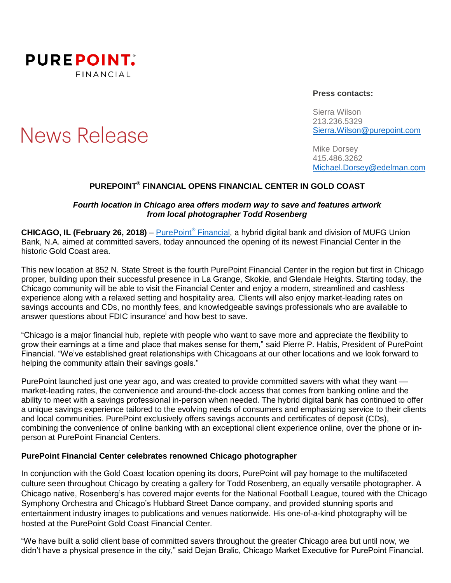

# **News Release**

#### **Press contacts:**

Sierra Wilson 213.236.5329 [Sierra.Wilson@purepoint.com](mailto:Sierra.Wilson@purepoint.com)

Mike Dorsey 415.486.3262 [Michael.Dorsey@edelman.com](mailto:Michael.Dorsey@edelman.com)

## **PUREPOINT ® FINANCIAL OPENS FINANCIAL CENTER IN GOLD COAST**

## *Fourth location in Chicago area offers modern way to save and features artwork from local photographer Todd Rosenberg*

**CHICAGO, IL (February 26, 2018)** – [PurePoint](https://www.purepoint.com/)® Financial, a hybrid digital bank and division of MUFG Union Bank, N.A. aimed at committed savers, today announced the opening of its newest Financial Center in the historic Gold Coast area.

This new location at 852 N. State Street is the fourth PurePoint Financial Center in the region but first in Chicago proper, building upon their successful presence in La Grange, Skokie, and Glendale Heights. Starting today, the Chicago community will be able to visit the Financial Center and enjoy a modern, streamlined and cashless experience along with a relaxed setting and hospitality area. Clients will also enjoy market-leading rates on savings accounts and CDs, no monthly fees, and knowledgeable savings professionals who are available to answer questions about FDIC insurance and how best to save.

"Chicago is a major financial hub, replete with people who want to save more and appreciate the flexibility to grow their earnings at a time and place that makes sense for them," said Pierre P. Habis, President of PurePoint Financial. "We've established great relationships with Chicagoans at our other locations and we look forward to helping the community attain their savings goals."

PurePoint launched just one year ago, and was created to provide committed savers with what they want market-leading rates, the convenience and around-the-clock access that comes from banking online and the ability to meet with a savings professional in-person when needed. The hybrid digital bank has continued to offer a unique savings experience tailored to the evolving needs of consumers and emphasizing service to their clients and local communities. PurePoint exclusively offers savings accounts and certificates of deposit (CDs), combining the convenience of online banking with an exceptional client experience online, over the phone or inperson at PurePoint Financial Centers.

### **PurePoint Financial Center celebrates renowned Chicago photographer**

In conjunction with the Gold Coast location opening its doors, PurePoint will pay homage to the multifaceted culture seen throughout Chicago by creating a gallery for Todd Rosenberg, an equally versatile photographer. A Chicago native, Rosenberg's has covered major events for the National Football League, toured with the Chicago Symphony Orchestra and Chicago's Hubbard Street Dance company, and provided stunning sports and entertainment industry images to publications and venues nationwide. His one-of-a-kind photography will be hosted at the PurePoint Gold Coast Financial Center.

"We have built a solid client base of committed savers throughout the greater Chicago area but until now, we didn't have a physical presence in the city," said Dejan Bralic, Chicago Market Executive for PurePoint Financial.